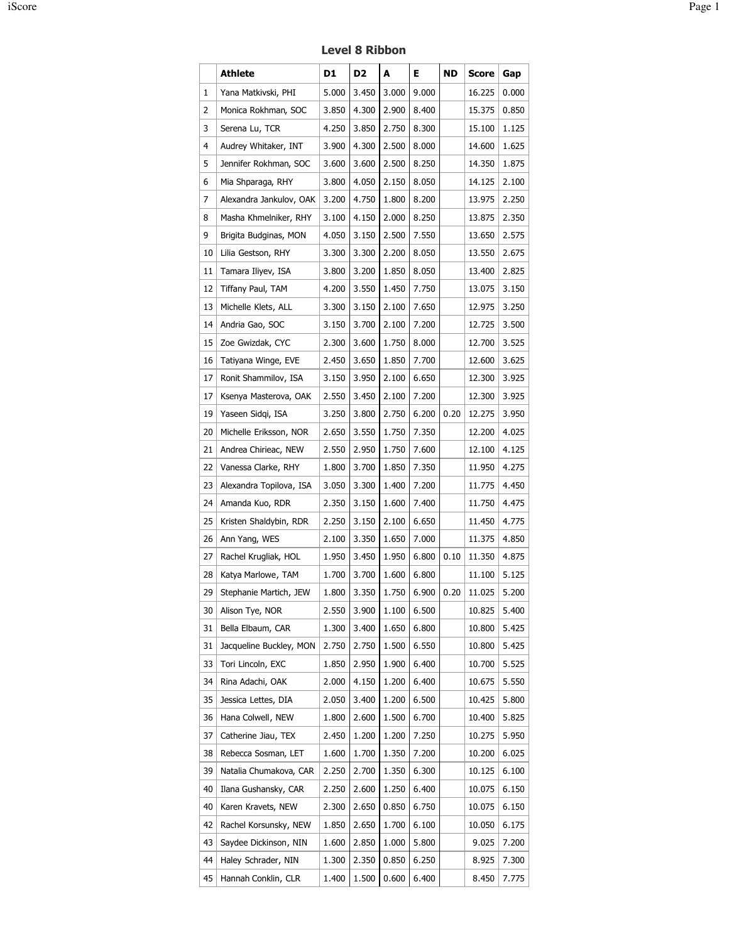|    | Athlete                 | D1    | D <sub>2</sub> | A                      | Е     | <b>ND</b> | <b>Score</b> | Gap   |
|----|-------------------------|-------|----------------|------------------------|-------|-----------|--------------|-------|
| 1  | Yana Matkivski, PHI     | 5.000 | 3.450          | 3.000                  | 9.000 |           | 16.225       | 0.000 |
| 2  | Monica Rokhman, SOC     | 3.850 | 4.300          | 2.900                  | 8.400 |           | 15.375       | 0.850 |
| 3  | Serena Lu, TCR          | 4.250 | 3.850          | 2.750                  | 8.300 |           | 15.100       | 1.125 |
| 4  | Audrey Whitaker, INT    | 3.900 | 4.300          | 2.500                  | 8.000 |           | 14.600       | 1.625 |
| 5  | Jennifer Rokhman, SOC   | 3.600 | 3.600          | 2.500                  | 8.250 |           | 14.350       | 1.875 |
| 6  | Mia Shparaga, RHY       | 3.800 | 4.050          | 2.150                  | 8.050 |           | 14.125       | 2.100 |
| 7  | Alexandra Jankulov, OAK | 3.200 | 4.750          | 1.800                  | 8.200 |           | 13.975       | 2.250 |
| 8  | Masha Khmelniker, RHY   | 3.100 | 4.150          | 2.000                  | 8.250 |           | 13.875       | 2.350 |
| 9  | Brigita Budginas, MON   | 4.050 | 3.150          | 2.500                  | 7.550 |           | 13.650       | 2.575 |
| 10 | Lilia Gestson, RHY      | 3.300 | 3.300          | 2.200                  | 8.050 |           | 13.550       | 2.675 |
| 11 | Tamara Iliyev, ISA      | 3.800 | 3.200          | 1.850                  | 8.050 |           | 13.400       | 2.825 |
| 12 | Tiffany Paul, TAM       | 4.200 | 3.550          | 1.450                  | 7.750 |           | 13.075       | 3.150 |
| 13 | Michelle Klets, ALL     | 3.300 | 3.150          | 2.100                  | 7.650 |           | 12.975       | 3.250 |
| 14 | Andria Gao, SOC         | 3.150 | 3.700          | 2.100                  | 7.200 |           | 12.725       | 3.500 |
| 15 | Zoe Gwizdak, CYC        | 2.300 | 3.600          | 1.750                  | 8.000 |           | 12.700       | 3.525 |
| 16 | Tatiyana Winge, EVE     | 2.450 | 3.650          | 1.850                  | 7.700 |           | 12.600       | 3.625 |
| 17 | Ronit Shammilov, ISA    | 3.150 | 3.950          | 2.100                  | 6.650 |           | 12.300       | 3.925 |
| 17 | Ksenya Masterova, OAK   | 2.550 | 3.450          | 2.100                  | 7.200 |           | 12.300       | 3.925 |
| 19 | Yaseen Sidgi, ISA       | 3.250 | 3.800          | 2.750                  | 6.200 | 0.20      | 12.275       | 3.950 |
| 20 | Michelle Eriksson, NOR  | 2.650 | 3.550          | 1.750                  | 7.350 |           | 12.200       | 4.025 |
| 21 | Andrea Chirieac, NEW    | 2.550 | 2.950          | 1.750                  | 7.600 |           | 12.100       | 4.125 |
| 22 | Vanessa Clarke, RHY     | 1.800 | 3.700          | 1.850                  | 7.350 |           | 11.950       | 4.275 |
| 23 | Alexandra Topilova, ISA | 3.050 | 3.300          | 1.400                  | 7.200 |           | 11.775       | 4.450 |
| 24 | Amanda Kuo, RDR         | 2.350 | 3.150          | 1.600                  | 7.400 |           | 11.750       | 4.475 |
| 25 | Kristen Shaldybin, RDR  | 2.250 | 3.150          | 2.100                  | 6.650 |           | 11.450       | 4.775 |
| 26 | Ann Yang, WES           | 2.100 | 3.350          | 1.650                  | 7.000 |           | 11.375       | 4.850 |
| 27 | Rachel Krugliak, HOL    | 1.950 | 3.450          | 1.950                  | 6.800 | 0.10      | 11.350       | 4.875 |
| 28 | Katya Marlowe, TAM      | 1.700 | 3.700          | 1.600                  | 6.800 |           | 11.100       | 5.125 |
| 29 | Stephanie Martich, JEW  | 1.800 |                | 3.350 1.750 6.900 0.20 |       |           | 11.025       | 5.200 |
| 30 | Alison Tye, NOR         | 2.550 | 3.900          | 1.100                  | 6.500 |           | 10.825       | 5.400 |
| 31 | Bella Elbaum, CAR       | 1.300 | 3.400          | 1.650                  | 6.800 |           | 10.800       | 5.425 |
| 31 | Jacqueline Buckley, MON | 2.750 | 2.750          | 1.500                  | 6.550 |           | 10.800       | 5.425 |
| 33 | Tori Lincoln, EXC       | 1.850 | 2.950          | 1.900                  | 6.400 |           | 10.700       | 5.525 |
| 34 | Rina Adachi, OAK        | 2.000 | 4.150          | 1.200                  | 6.400 |           | 10.675       | 5.550 |
| 35 | Jessica Lettes, DIA     | 2.050 | 3.400          | 1.200                  | 6.500 |           | 10.425       | 5.800 |
| 36 | Hana Colwell, NEW       | 1.800 | 2.600          | 1.500                  | 6.700 |           | 10.400       | 5.825 |
| 37 | Catherine Jiau, TEX     | 2.450 | 1.200          | 1.200                  | 7.250 |           | 10.275       | 5.950 |
| 38 | Rebecca Sosman, LET     | 1.600 | 1.700          | 1.350                  | 7.200 |           | 10.200       | 6.025 |
| 39 | Natalia Chumakova, CAR  | 2.250 | 2.700          | 1.350                  | 6.300 |           | 10.125       | 6.100 |
| 40 | Ilana Gushansky, CAR    | 2.250 | 2.600          | 1.250                  | 6.400 |           | 10.075       | 6.150 |
| 40 | Karen Kravets, NEW      | 2.300 | 2.650          | 0.850                  | 6.750 |           | 10.075       | 6.150 |
| 42 | Rachel Korsunsky, NEW   | 1.850 | 2.650          | 1.700                  | 6.100 |           | 10.050       | 6.175 |
| 43 | Saydee Dickinson, NIN   | 1.600 | 2.850          | 1.000                  | 5.800 |           | 9.025        | 7.200 |
| 44 | Haley Schrader, NIN     | 1.300 | 2.350          | 0.850                  | 6.250 |           | 8.925        | 7.300 |
| 45 | Hannah Conklin, CLR     | 1.400 | 1.500          | 0.600                  | 6.400 |           | 8.450        | 7.775 |

## Level 8 Ribbon